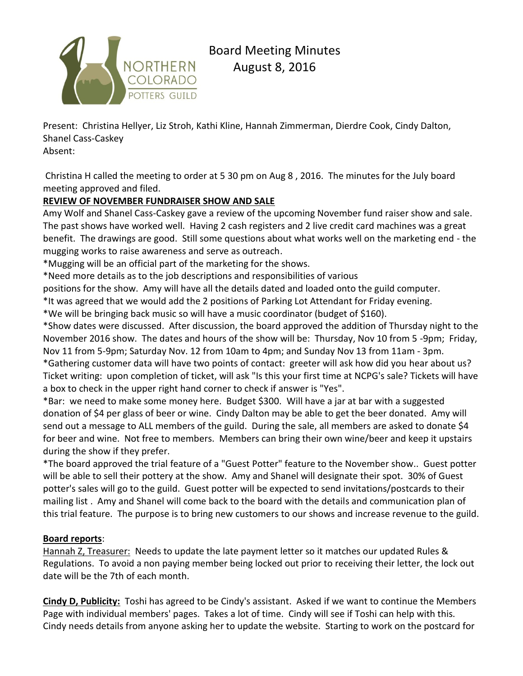

Present: Christina Hellyer, Liz Stroh, Kathi Kline, Hannah Zimmerman, Dierdre Cook, Cindy Dalton, Shanel Cass-Caskey

Absent:

Christina H called the meeting to order at 5 30 pm on Aug 8 , 2016. The minutes for the July board meeting approved and filed.

## **REVIEW OF NOVEMBER FUNDRAISER SHOW AND SALE**

Amy Wolf and Shanel Cass-Caskey gave a review of the upcoming November fund raiser show and sale. The past shows have worked well. Having 2 cash registers and 2 live credit card machines was a great benefit. The drawings are good. Still some questions about what works well on the marketing end - the mugging works to raise awareness and serve as outreach.

\*Mugging will be an official part of the marketing for the shows.

\*Need more details as to the job descriptions and responsibilities of various

positions for the show. Amy will have all the details dated and loaded onto the guild computer.

\*It was agreed that we would add the 2 positions of Parking Lot Attendant for Friday evening.

\*We will be bringing back music so will have a music coordinator (budget of \$160).

\*Show dates were discussed. After discussion, the board approved the addition of Thursday night to the November 2016 show. The dates and hours of the show will be: Thursday, Nov 10 from 5 -9pm; Friday, Nov 11 from 5-9pm; Saturday Nov. 12 from 10am to 4pm; and Sunday Nov 13 from 11am - 3pm. \*Gathering customer data will have two points of contact: greeter will ask how did you hear about us? Ticket writing: upon completion of ticket, will ask "Is this your first time at NCPG's sale? Tickets will have

a box to check in the upper right hand corner to check if answer is "Yes".

\*Bar: we need to make some money here. Budget \$300. Will have a jar at bar with a suggested donation of \$4 per glass of beer or wine. Cindy Dalton may be able to get the beer donated. Amy will send out a message to ALL members of the guild. During the sale, all members are asked to donate \$4 for beer and wine. Not free to members. Members can bring their own wine/beer and keep it upstairs during the show if they prefer.

\*The board approved the trial feature of a "Guest Potter" feature to the November show.. Guest potter will be able to sell their pottery at the show. Amy and Shanel will designate their spot. 30% of Guest potter's sales will go to the guild. Guest potter will be expected to send invitations/postcards to their mailing list . Amy and Shanel will come back to the board with the details and communication plan of this trial feature. The purpose is to bring new customers to our shows and increase revenue to the guild.

### **Board reports**:

Hannah Z, Treasurer: Needs to update the late payment letter so it matches our updated Rules & Regulations. To avoid a non paying member being locked out prior to receiving their letter, the lock out date will be the 7th of each month.

**Cindy D, Publicity:** Toshi has agreed to be Cindy's assistant. Asked if we want to continue the Members Page with individual members' pages. Takes a lot of time. Cindy will see if Toshi can help with this. Cindy needs details from anyone asking her to update the website. Starting to work on the postcard for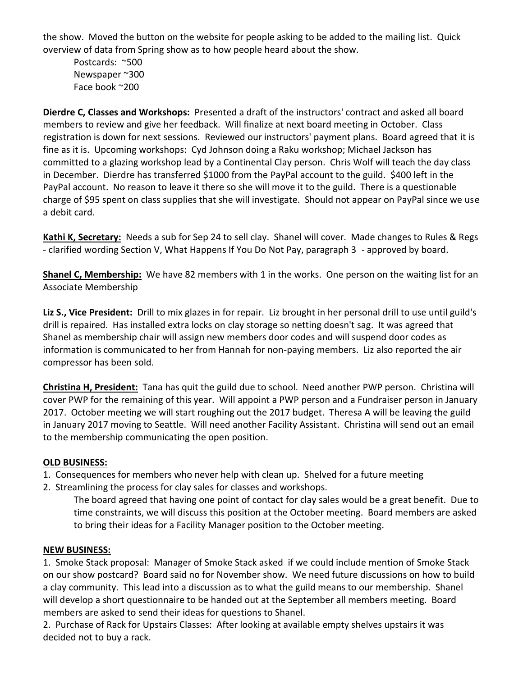the show. Moved the button on the website for people asking to be added to the mailing list. Quick overview of data from Spring show as to how people heard about the show.

Postcards: ~500 Newspaper ~300 Face book ~200

**Dierdre C, Classes and Workshops:** Presented a draft of the instructors' contract and asked all board members to review and give her feedback. Will finalize at next board meeting in October. Class registration is down for next sessions. Reviewed our instructors' payment plans. Board agreed that it is fine as it is. Upcoming workshops: Cyd Johnson doing a Raku workshop; Michael Jackson has committed to a glazing workshop lead by a Continental Clay person. Chris Wolf will teach the day class in December. Dierdre has transferred \$1000 from the PayPal account to the guild. \$400 left in the PayPal account. No reason to leave it there so she will move it to the guild. There is a questionable charge of \$95 spent on class supplies that she will investigate. Should not appear on PayPal since we use a debit card.

**Kathi K, Secretary:** Needs a sub for Sep 24 to sell clay. Shanel will cover. Made changes to Rules & Regs - clarified wording Section V, What Happens If You Do Not Pay, paragraph 3 - approved by board.

**Shanel C, Membership:** We have 82 members with 1 in the works. One person on the waiting list for an Associate Membership

**Liz S., Vice President:** Drill to mix glazes in for repair. Liz brought in her personal drill to use until guild's drill is repaired. Has installed extra locks on clay storage so netting doesn't sag. It was agreed that Shanel as membership chair will assign new members door codes and will suspend door codes as information is communicated to her from Hannah for non-paying members. Liz also reported the air compressor has been sold.

**Christina H, President:** Tana has quit the guild due to school. Need another PWP person. Christina will cover PWP for the remaining of this year. Will appoint a PWP person and a Fundraiser person in January 2017. October meeting we will start roughing out the 2017 budget. Theresa A will be leaving the guild in January 2017 moving to Seattle. Will need another Facility Assistant. Christina will send out an email to the membership communicating the open position.

### **OLD BUSINESS:**

- 1. Consequences for members who never help with clean up. Shelved for a future meeting
- 2. Streamlining the process for clay sales for classes and workshops.

The board agreed that having one point of contact for clay sales would be a great benefit. Due to time constraints, we will discuss this position at the October meeting. Board members are asked to bring their ideas for a Facility Manager position to the October meeting.

#### **NEW BUSINESS:**

1. Smoke Stack proposal: Manager of Smoke Stack asked if we could include mention of Smoke Stack on our show postcard? Board said no for November show. We need future discussions on how to build a clay community. This lead into a discussion as to what the guild means to our membership. Shanel will develop a short questionnaire to be handed out at the September all members meeting. Board members are asked to send their ideas for questions to Shanel.

2. Purchase of Rack for Upstairs Classes: After looking at available empty shelves upstairs it was decided not to buy a rack.